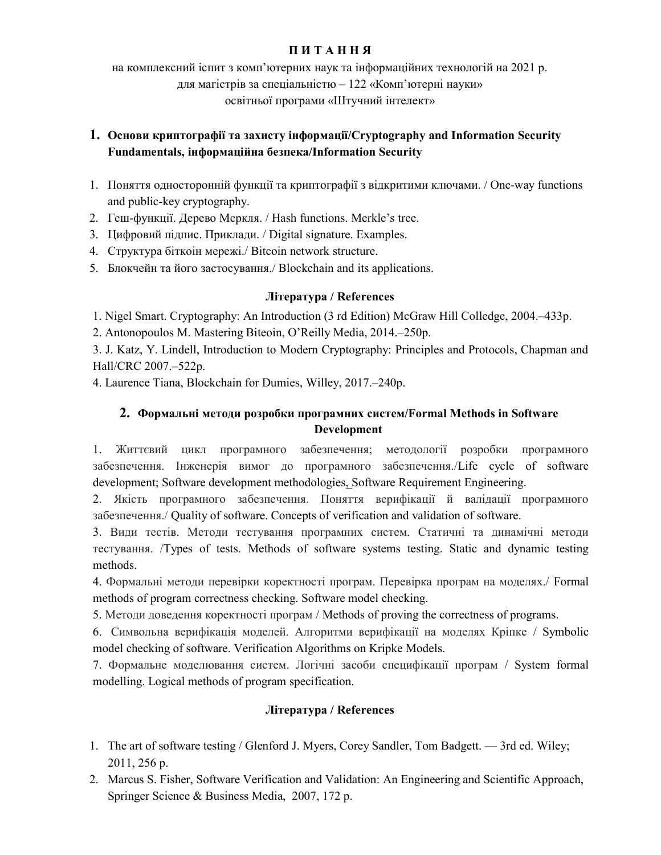## П И Т А Н Н Я

на комплексний iспит з комп'ютерних наук та інформаційних технологій на 2021 р. для магістрів за спеціальністю – 122 «Комп'ютерні науки» освітньої програми «Штучний інтелект»

## 1. Основи криптографії та захисту інформації/Cryptography and Information Security Fundamentals, інформаційна безпека/Information Security

- 1. Поняття односторонній функції та криптографії з відкритими ключами. / One-way functions and public-key cryptography.
- 2. Геш-функції. Дерево Меркля. / Hash functions. Merkle's tree.
- 3. Цифровий підпис. Приклади. / Digital signature. Examples.
- 4. Структура біткоін мережі./ Bitcoin network structure.
- 5. Блокчейн та його застосування./ Blockchain and its applications.

## Література / References

1. Nigel Smart. Cryptography: An Introduction (3 rd Edition) McGraw Hill Colledge, 2004.–433p.

2. Antonopoulos M. Mastering Biteoin, O'Reilly Media, 2014.–250p.

3. J. Katz, Y. Lindell, Introduction to Modern Cryptography: Principles and Protocols, Chapman and Hall/CRC 2007.–522p.

4. Laurence Tiana, Blockchain for Dumies, Willey, 2017.–240p.

# 2. Формальні методи розробки програмних систем/Formal Methods in Software Development

1. Життєвий цикл програмного забезпечення; методології розробки програмного забезпечення. Інженерія вимог до програмного забезпечення./Life cycle of software development; Software development methodologies, Software Requirement Engineering.

2. Якість програмного забезпечення. Поняття верифікації й валідації програмного забезпечення./ Quality of software. Concepts of verification and validation of software.

3. Види тестів. Методи тестування програмних систем. Статичні та динамічні методи тестування. /Types of tests. Methods of software systems testing. Static and dynamic testing methods.

4. Формальні методи перевірки коректності програм. Перевірка програм на моделях./ Formal methods of program correctness checking. Software model checking.

5. Методи доведення коректності програм / Methods of proving the correctness of programs.

6. Символьна верифікація моделей. Алгоритми верифікації на моделях Кріпке / Symbolic model checking of software. Verification Algorithms on Kripke Models.

7. Формальне моделювання систем. Логічні засоби специфікації програм / System formal modelling. Logical methods of program specification.

# Література / References

- 1. The art of software testing / Glenford J. Myers, Corey Sandler, Tom Badgett. 3rd ed. Wiley; 2011, 256 p.
- 2. Marcus S. Fisher, Software Verification and Validation: An Engineering and Scientific Approach, Springer Science & Business Media, 2007, 172 p.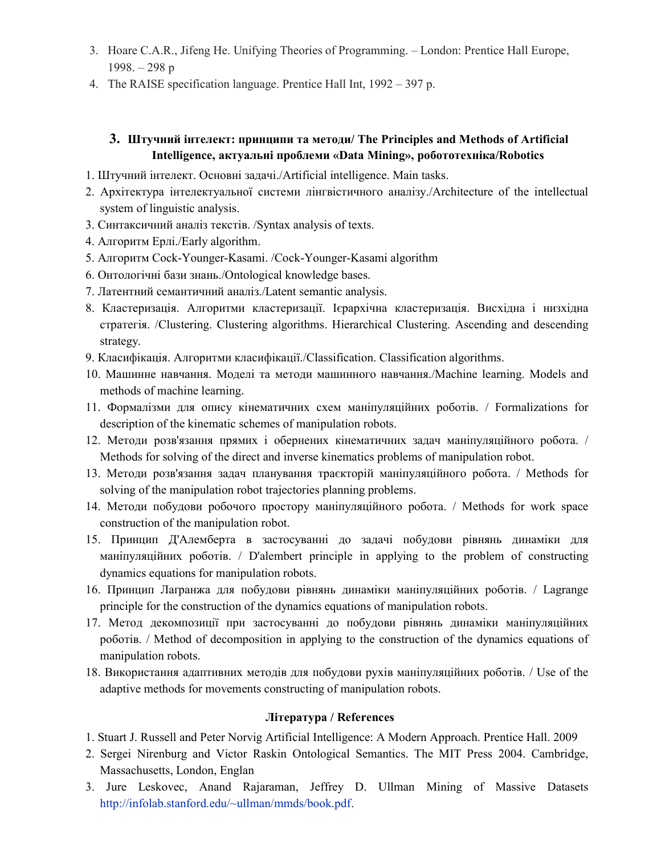- 3. Hoare C.A.R., Jifeng He. Unifying Theories of Programming. London: Prentice Hall Europe, 1998. – 298 p
- 4. The RAISE specification language. Prentice Hall Int, 1992 397 p.

## 3. Штучний інтелект: принципи та методи/ The Principles and Methods of Artificial Intelligence, актуальні проблеми «Data Mining», робототехніка/Robotics

- 1. Штучний інтелект. Основні задачі./Artificial intelligence. Main tasks.
- 2. Архітектура інтелектуальної системи лінгвістичного аналізу./Architecture of the intellectual system of linguistic analysis.
- 3. Синтаксичний аналіз текстів. /Syntax analysis of texts.
- 4. Алгоритм Ерлі./Early algorithm.
- 5. Алгоритм Cock-Younger-Kasami. /Cock-Younger-Kasami algorithm
- 6. Онтологічні бази знань./Ontological knowledge bases.
- 7. Латентний семантичний аналіз./Latent semantic analysis.
- 8. Кластеризація. Алгоритми кластеризації. Ієрархічна кластеризація. Висхідна і низхідна стратегія. /Clustering. Clustering algorithms. Hierarchical Clustering. Ascending and descending strategy.
- 9. Класифікація. Алгоритми класифікації./Classification. Classification algorithms.
- 10. Машинне навчання. Моделі та методи машинного навчання./Machine learning. Models and methods of machine learning.
- 11. Формалізми для опису кінематичних схем маніпуляційних роботів. / Formalizations for description of the kinematic schemes of manipulation robots.
- 12. Методи розв'язання прямих і обернених кінематичних задач маніпуляційного робота. / Methods for solving of the direct and inverse kinematics problems of manipulation robot.
- 13. Методи розв'язання задач планування траєкторій маніпуляційного робота. / Methods for solving of the manipulation robot trajectories planning problems.
- 14. Методи побудови робочого простору маніпуляційного робота. / Methods for work space construction of the manipulation robot.
- 15. Принцип Д'Алемберта в застосуванні до задачі побудови рівнянь динаміки для маніпуляційних роботів. / D'alembert principle in applying to the problem of constructing dynamics equations for manipulation robots.
- 16. Принцип Лаґранжа для побудови рівнянь динаміки маніпуляційних роботів. / Lagrange principle for the construction of the dynamics equations of manipulation robots.
- 17. Метод декомпозиції при застосуванні до побудови рівнянь динаміки маніпуляційних роботів. / Method of decomposition in applying to the construction of the dynamics equations of manipulation robots.
- 18. Використання адаптивних методів для побудови рухів маніпуляційних роботів. / Use of the adaptive methods for movements constructing of manipulation robots.

#### Література / References

- 1. Stuart J. Russell and Peter Norvig Artificial Intelligence: A Modern Approach. Prentice Hall. 2009
- 2. Sergei Nirenburg and Victor Raskin Ontological Semantics. The MIT Press 2004. Cambridge, Massachusetts, London, Englan
- 3. Jure Leskovec, Anand Rajaraman, Jeffrey D. Ullman Mining of Massive Datasets http://infolab.stanford.edu/~ullman/mmds/book.pdf.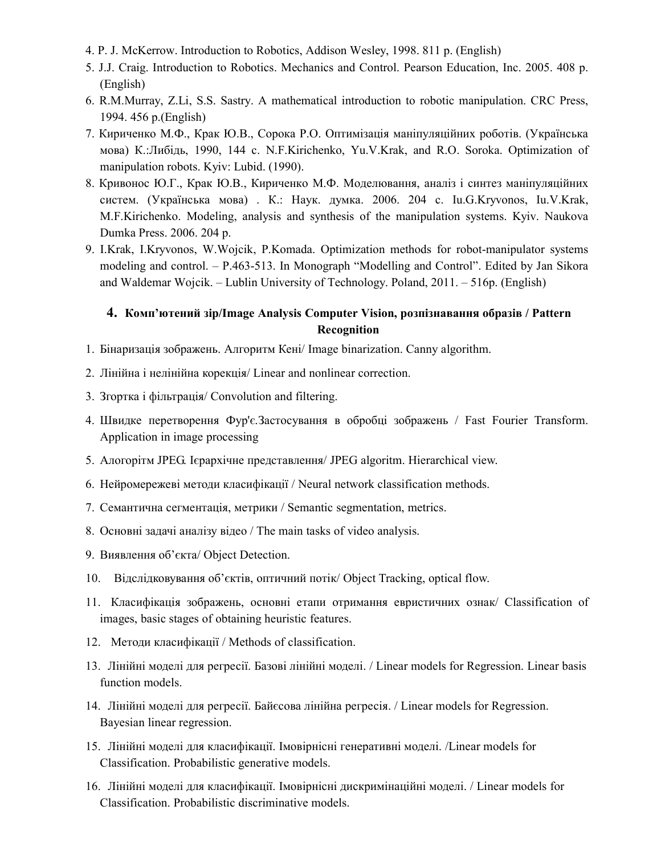- 4. P. J. McKerrow. Introduction to Robotics, Addison Wesley, 1998. 811 p. (English)
- 5. J.J. Craig. Introduction to Robotics. Mechanics and Control. Pearson Education, Inc. 2005. 408 p. (English)
- 6. R.M.Murray, Z.Li, S.S. Sastry. A mathematical introduction to robotic manipulation. CRC Press, 1994. 456 p.(English)
- 7. Кириченко М.Ф., Крак Ю.В., Сорока Р.О. Оптимізація маніпуляційних роботів. (Українська мова) К.:Либідь, 1990, 144 с. N.F.Kirichenko, Yu.V.Krаk, and R.O. Soroka. Optimization of manipulation robots. Kyiv: Lubid. (1990).
- 8. Кривонос Ю.Г., Крак Ю.В., Кириченко М.Ф. Моделювання, аналіз і синтез маніпуляційних систем. (Українська мова) . К.: Наук. думка. 2006. 204 с. Iu.G.Kryvonos, Iu.V.Krak, M.F.Kirichenko. Modeling, analysis and synthesis of the manipulation systems. Kyiv. Naukova Dumka Press. 2006. 204 p.
- 9. I.Krak, I.Kryvonos, W.Wojcik, P.Komada. Optimization methods for robot-manipulator systems modeling and control. – P.463-513. In Monograph "Modelling and Control". Edited by Jan Sikora and Waldemar Wojcik. – Lublin University of Technology. Poland, 2011. – 516р. (English)

## 4. Комп'ютений зір/Image Analysis Computer Vision, розпізнавання образів / Pattern Recognition

- 1. Бінаризація зображень. Алгоритм Кені/ Image binarization. Canny algorithm.
- 2. Лінійна і нелінійна корекція/ Linear and nonlinear correction.
- 3. Згортка і фільтрація/ Convolution and filtering.
- 4. Швидке перетворення Фур'є.Застосування в обробці зображень / Fast Fourier Transform. Application in image processing
- 5. Алогорітм JPEG. Ієрархічне представлення/ JPEG algoritm. Hierarchical view.
- 6. Нейромережеві методи класифікації / Neural network classification methods.
- 7. Семантична сегментація, метрики / Semantic segmentation, metrics.
- 8. Основні задачі аналізу відео / The main tasks of video analysis.
- 9. Виявлення об'єкта/ Object Detection.
- 10. Відслідковування об'єктів, оптичний потік/ Object Tracking, optical flow.
- 11. Класифікація зображень, основні етапи отримання евристичних ознак/ Classification of images, basic stages of obtaining heuristic features.
- 12. Методи класифікації / Methods of classification.
- 13. Лінійні моделі для регресії. Базові лінійні моделі. / Linear models for Regression. Linear basis function models.
- 14. Лінійні моделі для регресії. Байєсова лінійна регресія. / Linear models for Regression. Bayesian linear regression.
- 15. Лінійні моделі для класифікації. Імовірнісні генеративні моделі. /Linear models for Classification. Probabilistic generative models.
- 16. Лінійні моделі для класифікації. Імовірнісні дискримінаційні моделі. / Linear models for Classification. Probabilistic discriminative models.